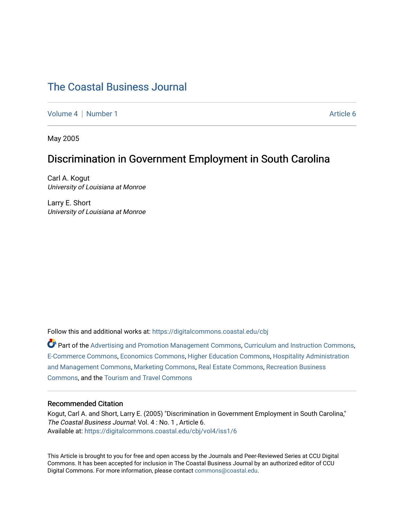# [The Coastal Business Journal](https://digitalcommons.coastal.edu/cbj)

[Volume 4](https://digitalcommons.coastal.edu/cbj/vol4) | [Number 1](https://digitalcommons.coastal.edu/cbj/vol4/iss1) Article 6

May 2005

## Discrimination in Government Employment in South Carolina

Carl A. Kogut University of Louisiana at Monroe

Larry E. Short University of Louisiana at Monroe

Follow this and additional works at: [https://digitalcommons.coastal.edu/cbj](https://digitalcommons.coastal.edu/cbj?utm_source=digitalcommons.coastal.edu%2Fcbj%2Fvol4%2Fiss1%2F6&utm_medium=PDF&utm_campaign=PDFCoverPages) 

Part of the [Advertising and Promotion Management Commons,](http://network.bepress.com/hgg/discipline/626?utm_source=digitalcommons.coastal.edu%2Fcbj%2Fvol4%2Fiss1%2F6&utm_medium=PDF&utm_campaign=PDFCoverPages) [Curriculum and Instruction Commons,](http://network.bepress.com/hgg/discipline/786?utm_source=digitalcommons.coastal.edu%2Fcbj%2Fvol4%2Fiss1%2F6&utm_medium=PDF&utm_campaign=PDFCoverPages) [E-Commerce Commons,](http://network.bepress.com/hgg/discipline/624?utm_source=digitalcommons.coastal.edu%2Fcbj%2Fvol4%2Fiss1%2F6&utm_medium=PDF&utm_campaign=PDFCoverPages) [Economics Commons](http://network.bepress.com/hgg/discipline/340?utm_source=digitalcommons.coastal.edu%2Fcbj%2Fvol4%2Fiss1%2F6&utm_medium=PDF&utm_campaign=PDFCoverPages), [Higher Education Commons](http://network.bepress.com/hgg/discipline/1245?utm_source=digitalcommons.coastal.edu%2Fcbj%2Fvol4%2Fiss1%2F6&utm_medium=PDF&utm_campaign=PDFCoverPages), [Hospitality Administration](http://network.bepress.com/hgg/discipline/632?utm_source=digitalcommons.coastal.edu%2Fcbj%2Fvol4%2Fiss1%2F6&utm_medium=PDF&utm_campaign=PDFCoverPages) [and Management Commons,](http://network.bepress.com/hgg/discipline/632?utm_source=digitalcommons.coastal.edu%2Fcbj%2Fvol4%2Fiss1%2F6&utm_medium=PDF&utm_campaign=PDFCoverPages) [Marketing Commons](http://network.bepress.com/hgg/discipline/638?utm_source=digitalcommons.coastal.edu%2Fcbj%2Fvol4%2Fiss1%2F6&utm_medium=PDF&utm_campaign=PDFCoverPages), [Real Estate Commons](http://network.bepress.com/hgg/discipline/641?utm_source=digitalcommons.coastal.edu%2Fcbj%2Fvol4%2Fiss1%2F6&utm_medium=PDF&utm_campaign=PDFCoverPages), [Recreation Business](http://network.bepress.com/hgg/discipline/1083?utm_source=digitalcommons.coastal.edu%2Fcbj%2Fvol4%2Fiss1%2F6&utm_medium=PDF&utm_campaign=PDFCoverPages) [Commons](http://network.bepress.com/hgg/discipline/1083?utm_source=digitalcommons.coastal.edu%2Fcbj%2Fvol4%2Fiss1%2F6&utm_medium=PDF&utm_campaign=PDFCoverPages), and the [Tourism and Travel Commons](http://network.bepress.com/hgg/discipline/1082?utm_source=digitalcommons.coastal.edu%2Fcbj%2Fvol4%2Fiss1%2F6&utm_medium=PDF&utm_campaign=PDFCoverPages)

#### Recommended Citation

Kogut, Carl A. and Short, Larry E. (2005) "Discrimination in Government Employment in South Carolina," The Coastal Business Journal: Vol. 4: No. 1, Article 6. Available at: [https://digitalcommons.coastal.edu/cbj/vol4/iss1/6](https://digitalcommons.coastal.edu/cbj/vol4/iss1/6?utm_source=digitalcommons.coastal.edu%2Fcbj%2Fvol4%2Fiss1%2F6&utm_medium=PDF&utm_campaign=PDFCoverPages)

This Article is brought to you for free and open access by the Journals and Peer-Reviewed Series at CCU Digital Commons. It has been accepted for inclusion in The Coastal Business Journal by an authorized editor of CCU Digital Commons. For more information, please contact [commons@coastal.edu](mailto:commons@coastal.edu).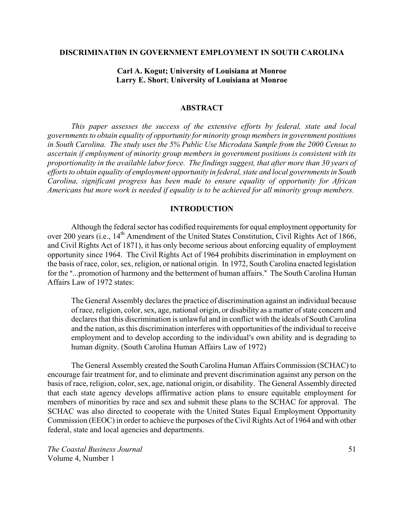#### **DISCRIMINATI0N IN GOVERNMENT EMPLOYMENT IN SOUTH CAROLINA**

## **Carl A. Kogut; University of Louisiana at Monroe Larry E. Short**; **University of Louisiana at Monroe**

#### **ABSTRACT**

*This paper assesses the success of the extensive efforts by federal, state and local governments to obtain equality of opportunity for minority group members in government positions in South Carolina. The study uses the 5% Public Use Microdata Sample from the 2000 Census to ascertain if employment of minority group members in government positions is consistent with its proportionality in the available labor force. The findings suggest, that after more than 30 years of efforts to obtain equality of employment opportunity in federal, state and local governments in South Carolina, significant progress has been made to ensure equality of opportunity for African Americans but more work is needed if equality is to be achieved for all minority group members.*

## **INTRODUCTION**

Although the federal sector has codified requirements for equal employment opportunity for over 200 years (i.e., 14<sup>th</sup> Amendment of the United States Constitution, Civil Rights Act of 1866, and Civil Rights Act of 1871), it has only become serious about enforcing equality of employment opportunity since 1964. The Civil Rights Act of 1964 prohibits discrimination in employment on the basis of race, color, sex, religion, or national origin. In 1972, South Carolina enacted legislation for the "...promotion of harmony and the betterment of human affairs." The South Carolina Human Affairs Law of 1972 states:

The General Assembly declares the practice of discrimination against an individual because of race, religion, color, sex, age, national origin, or disability as a matter of state concern and declares that this discrimination is unlawful and in conflict with the ideals of South Carolina and the nation, as this discrimination interferes with opportunities of the individual to receive employment and to develop according to the individual's own ability and is degrading to human dignity. (South Carolina Human Affairs Law of 1972)

The General Assembly created the South Carolina Human Affairs Commission (SCHAC) to encourage fair treatment for, and to eliminate and prevent discrimination against any person on the basis of race, religion, color, sex, age, national origin, or disability. The General Assembly directed that each state agency develops affirmative action plans to ensure equitable employment for members of minorities by race and sex and submit these plans to the SCHAC for approval. The SCHAC was also directed to cooperate with the United States Equal Employment Opportunity Commission (EEOC) in order to achieve the purposes of the Civil Rights Act of 1964 and with other federal, state and local agencies and departments.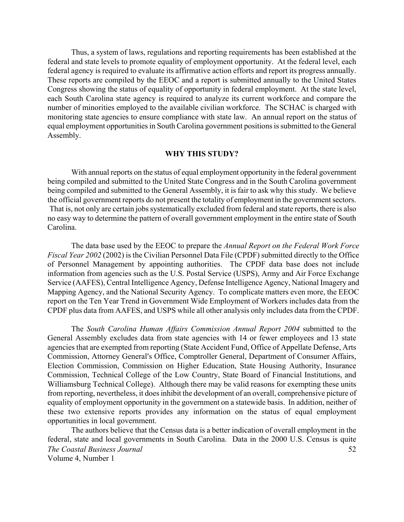Thus, a system of laws, regulations and reporting requirements has been established at the federal and state levels to promote equality of employment opportunity. At the federal level, each federal agency is required to evaluate its affirmative action efforts and report its progress annually. These reports are compiled by the EEOC and a report is submitted annually to the United States Congress showing the status of equality of opportunity in federal employment. At the state level, each South Carolina state agency is required to analyze its current workforce and compare the number of minorities employed to the available civilian workforce. The SCHAC is charged with monitoring state agencies to ensure compliance with state law. An annual report on the status of equal employment opportunities in South Carolina government positions is submitted to the General Assembly.

### **WHY THIS STUDY?**

With annual reports on the status of equal employment opportunity in the federal government being compiled and submitted to the United State Congress and in the South Carolina government being compiled and submitted to the General Assembly, it is fair to ask why this study. We believe the official government reports do not present the totality of employment in the government sectors. That is, not only are certain jobs systematically excluded from federal and state reports, there is also no easy way to determine the pattern of overall government employment in the entire state of South Carolina.

The data base used by the EEOC to prepare the *Annual Report on the Federal Work Force Fiscal Year 2002* (2002) is the Civilian Personnel Data File (CPDF) submitted directly to the Office of Personnel Management by appointing authorities. The CPDF data base does not include information from agencies such as the U.S. Postal Service (USPS), Army and Air Force Exchange Service (AAFES), Central Intelligence Agency, Defense Intelligence Agency, National Imagery and Mapping Agency, and the National Security Agency. To complicate matters even more, the EEOC report on the Ten Year Trend in Government Wide Employment of Workers includes data from the CPDF plus data from AAFES, and USPS while all other analysis only includes data from the CPDF.

The *South Carolina Human Affairs Commission Annual Report 2004* submitted to the General Assembly excludes data from state agencies with 14 or fewer employees and 13 state agencies that are exempted from reporting (State Accident Fund, Office of Appellate Defense, Arts Commission, Attorney General's Office, Comptroller General, Department of Consumer Affairs, Election Commission, Commission on Higher Education, State Housing Authority, Insurance Commission, Technical College of the Low Country, State Board of Financial Institutions, and Williamsburg Technical College). Although there may be valid reasons for exempting these units from reporting, nevertheless, it does inhibit the development of an overall, comprehensive picture of equality of employment opportunity in the government on a statewide basis. In addition, neither of these two extensive reports provides any information on the status of equal employment opportunities in local government.

*The Coastal Business Journal*  Volume 4, Number 1 52 The authors believe that the Census data is a better indication of overall employment in the federal, state and local governments in South Carolina. Data in the 2000 U.S. Census is quite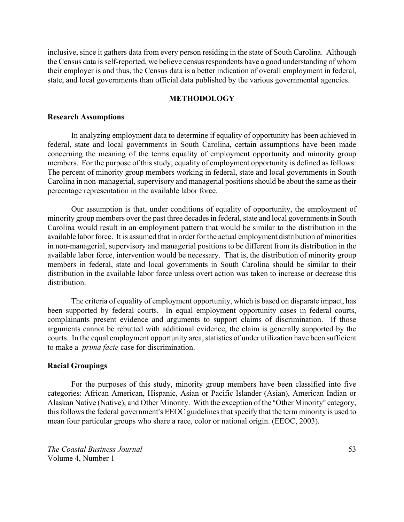inclusive, since it gathers data from every person residing in the state of South Carolina. Although the Census data is self-reported, we believe census respondents have a good understanding of whom their employer is and thus, the Census data is a better indication of overall employment in federal, state, and local governments than official data published by the various governmental agencies.

## **METHODOLOGY**

#### **Research Assumptions**

In analyzing employment data to determine if equality of opportunity has been achieved in federal, state and local governments in South Carolina, certain assumptions have been made concerning the meaning of the terms equality of employment opportunity and minority group members. For the purpose of this study, equality of employment opportunity is defined as follows: The percent of minority group members working in federal, state and local governments in South Carolina in non-managerial, supervisory and managerial positions should be about the same as their percentage representation in the available labor force.

Our assumption is that, under conditions of equality of opportunity, the employment of minority group members over the past three decades in federal, state and local governments in South Carolina would result in an employment pattern that would be similar to the distribution in the available labor force. It is assumed that in order for the actual employment distribution of minorities in non-managerial, supervisory and managerial positions to be different from its distribution in the available labor force, intervention would be necessary. That is, the distribution of minority group members in federal, state and local governments in South Carolina should be similar to their distribution in the available labor force unless overt action was taken to increase or decrease this distribution.

The criteria of equality of employment opportunity, which is based on disparate impact, has been supported by federal courts. In equal employment opportunity cases in federal courts, complainants present evidence and arguments to support claims of discrimination. If those arguments cannot be rebutted with additional evidence, the claim is generally supported by the courts. In the equal employment opportunity area, statistics of under utilization have been sufficient to make a *prima facie* case for discrimination.

## **Racial Groupings**

For the purposes of this study, minority group members have been classified into five categories: African American, Hispanic, Asian or Pacific Islander (Asian), American Indian or Alaskan Native (Native), and Other Minority. With the exception of the "Other Minority" category, this follows the federal government's EEOC guidelines that specify that the term minority is used to mean four particular groups who share a race, color or national origin. (EEOC, 2003).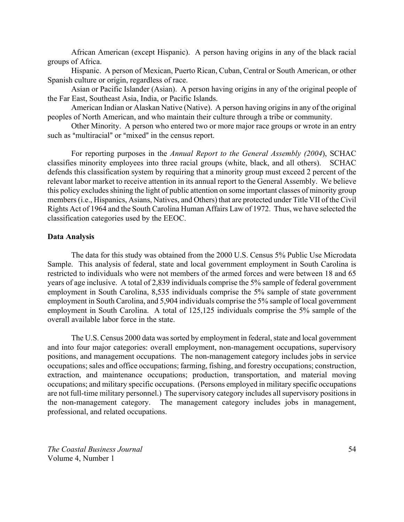African American (except Hispanic). A person having origins in any of the black racial groups of Africa.

Hispanic. A person of Mexican, Puerto Rican, Cuban, Central or South American, or other Spanish culture or origin, regardless of race.

Asian or Pacific Islander (Asian). A person having origins in any of the original people of the Far East, Southeast Asia, India, or Pacific Islands.

American Indian or Alaskan Native (Native). A person having origins in any of the original peoples of North American, and who maintain their culture through a tribe or community.

Other Minority. A person who entered two or more major race groups or wrote in an entry such as "multiracial" or "mixed" in the census report.

For reporting purposes in the *Annual Report to the General Assembly (2004*), SCHAC classifies minority employees into three racial groups (white, black, and all others). SCHAC defends this classification system by requiring that a minority group must exceed 2 percent of the relevant labor market to receive attention in its annual report to the General Assembly. We believe this policy excludes shining the light of public attention on some important classes of minority group members (i.e., Hispanics, Asians, Natives, and Others) that are protected under Title VII of the Civil Rights Act of 1964 and the South Carolina Human Affairs Law of 1972. Thus, we have selected the classification categories used by the EEOC.

#### **Data Analysis**

The data for this study was obtained from the 2000 U.S. Census 5% Public Use Microdata Sample. This analysis of federal, state and local government employment in South Carolina is restricted to individuals who were not members of the armed forces and were between 18 and 65 years of age inclusive. A total of 2,839 individuals comprise the 5% sample of federal government employment in South Carolina, 8,535 individuals comprise the 5% sample of state government employment in South Carolina, and 5,904 individuals comprise the 5% sample of local government employment in South Carolina. A total of 125,125 individuals comprise the 5% sample of the overall available labor force in the state.

The U.S. Census 2000 data was sorted by employment in federal, state and local government and into four major categories: overall employment, non-management occupations, supervisory positions, and management occupations. The non-management category includes jobs in service occupations; sales and office occupations; farming, fishing, and forestry occupations; construction, extraction, and maintenance occupations; production, transportation, and material moving occupations; and military specific occupations. (Persons employed in military specific occupations are not full-time military personnel.) The supervisory category includes all supervisory positions in the non-management category. The management category includes jobs in management, professional, and related occupations.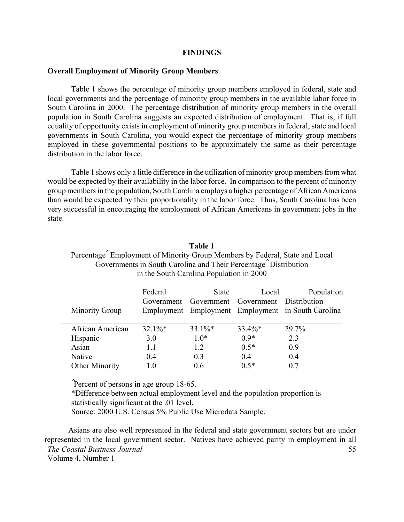#### **FINDINGS**

#### **Overall Employment of Minority Group Members**

Table 1 shows the percentage of minority group members employed in federal, state and local governments and the percentage of minority group members in the available labor force in South Carolina in 2000. The percentage distribution of minority group members in the overall population in South Carolina suggests an expected distribution of employment. That is, if full equality of opportunity exists in employment of minority group members in federal, state and local governments in South Carolina, you would expect the percentage of minority group members employed in these governmental positions to be approximately the same as their percentage distribution in the labor force.

Table 1 shows only a little difference in the utilization of minority group members from what would be expected by their availability in the labor force. In comparison to the percent of minority group members in the population, South Carolina employs a higher percentage of African Americans than would be expected by their proportionality in the labor force. Thus, South Carolina has been very successful in encouraging the employment of African Americans in government jobs in the state.

## **Table 1**

Percentage^ Employment of Minority Group Members by Federal, State and Local Governments in South Carolina and Their Percentage^ Distribution in the South Carolina Population in 2000

|                  | Federal   | State     | Local                                         | Population                                         |
|------------------|-----------|-----------|-----------------------------------------------|----------------------------------------------------|
|                  |           |           | Government Government Government Distribution |                                                    |
| Minority Group   |           |           |                                               | Employment Employment Employment in South Carolina |
|                  |           |           |                                               |                                                    |
| African American | $32.1\%*$ | $33.1\%*$ | $33.4\%*$                                     | 29.7%                                              |
| Hispanic         | 3.0       | $1.0*$    | $0.9*$                                        | 2.3                                                |
| Asian            | 11        | 12        | $0.5*$                                        | 0.9                                                |
| Native           | 0.4       | 0.3       | 04                                            | 0.4                                                |
| Other Minority   | 1.0       | 0.6       | $0.5*$                                        | 0.7                                                |
|                  |           |           |                                               |                                                    |

\*Difference between actual employment level and the population proportion is statistically significant at the .01 level.

Source: 2000 U.S. Census 5% Public Use Microdata Sample.

*The Coastal Business Journal*  Volume 4, Number 1 55 Asians are also well represented in the federal and state government sectors but are under represented in the local government sector. Natives have achieved parity in employment in all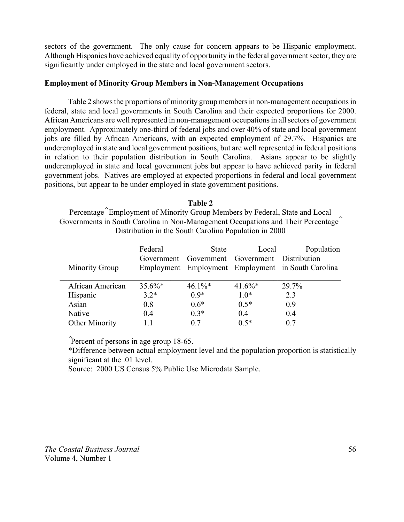sectors of the government. The only cause for concern appears to be Hispanic employment. Although Hispanics have achieved equality of opportunity in the federal government sector, they are significantly under employed in the state and local government sectors.

## **Employment of Minority Group Members in Non-Management Occupations**

Table 2 shows the proportions of minority group members in non-management occupations in federal, state and local governments in South Carolina and their expected proportions for 2000. African Americans are well represented in non-management occupations in all sectors of government employment. Approximately one-third of federal jobs and over 40% of state and local government jobs are filled by African Americans, with an expected employment of 29.7%. Hispanics are underemployed in state and local government positions, but are well represented in federal positions in relation to their population distribution in South Carolina. Asians appear to be slightly underemployed in state and local government jobs but appear to have achieved parity in federal government jobs. Natives are employed at expected proportions in federal and local government positions, but appear to be under employed in state government positions.

**Table 2** Percentage^ Employment of Minority Group Members by Federal, State and Local Governments in South Carolina in Non-Management Occupations and Their Percentage^ Distribution in the South Carolina Population in 2000

|                       | Federal    | <b>State</b>                       | Local     | Population                                         |
|-----------------------|------------|------------------------------------|-----------|----------------------------------------------------|
|                       | Government | Government Government Distribution |           |                                                    |
| <b>Minority Group</b> |            |                                    |           | Employment Employment Employment in South Carolina |
|                       |            |                                    |           |                                                    |
| African American      | $35.6\%*$  | $46.1\%$ *                         | $41.6\%*$ | 29.7%                                              |
| Hispanic              | $3.2*$     | $0.9*$                             | $1.0*$    | 2.3                                                |
| Asian                 | 0.8        | $0.6*$                             | $0.5*$    | 0.9                                                |
| <b>Native</b>         | 0.4        | $0.3*$                             | 04        | 04                                                 |
| <b>Other Minority</b> |            | 07                                 | $0.5*$    | 0.7                                                |
|                       |            |                                    |           |                                                    |

Therefore of persons in age group 18-65.

\*Difference between actual employment level and the population proportion is statistically significant at the .01 level.

Source: 2000 US Census 5% Public Use Microdata Sample.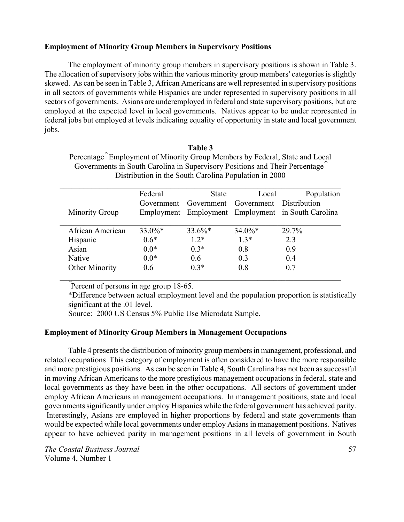## **Employment of Minority Group Members in Supervisory Positions**

The employment of minority group members in supervisory positions is shown in Table 3. The allocation of supervisory jobs within the various minority group members' categories is slightly skewed. As can be seen in Table 3, African Americans are well represented in supervisory positions in all sectors of governments while Hispanics are under represented in supervisory positions in all sectors of governments. Asians are underemployed in federal and state supervisory positions, but are employed at the expected level in local governments. Natives appear to be under represented in federal jobs but employed at levels indicating equality of opportunity in state and local government jobs.

**Table 3**

|                       | Federal   | <b>State</b>                                  | Local     | Population                                         |
|-----------------------|-----------|-----------------------------------------------|-----------|----------------------------------------------------|
|                       |           | Government Government Government Distribution |           |                                                    |
| <b>Minority Group</b> |           |                                               |           | Employment Employment Employment in South Carolina |
| African American      | $33.0\%*$ | $33.6\%*$                                     | $34.0\%*$ | 29.7%                                              |
| Hispanic              | $0.6*$    | $1.2*$                                        | $1.3*$    | 2.3                                                |
| Asian                 | $0.0*$    | $0.3*$                                        | 08        | 09                                                 |
| Native                | $0.0*$    | 06                                            | 03        | 04                                                 |
| <b>Other Minority</b> | 0.6       | $0.3*$                                        | 08        | 0.7                                                |

Therefore of persons in age group 18-65.

\*Difference between actual employment level and the population proportion is statistically significant at the .01 level.

Source: 2000 US Census 5% Public Use Microdata Sample.

## **Employment of Minority Group Members in Management Occupations**

Table 4 presents the distribution of minority group members in management, professional, and related occupations This category of employment is often considered to have the more responsible and more prestigious positions. As can be seen in Table 4, South Carolina has not been as successful in moving African Americans to the more prestigious management occupations in federal, state and local governments as they have been in the other occupations. All sectors of government under employ African Americans in management occupations. In management positions, state and local governments significantly under employ Hispanics while the federal government has achieved parity. Interestingly, Asians are employed in higher proportions by federal and state governments than would be expected while local governments under employ Asians in management positions. Natives appear to have achieved parity in management positions in all levels of government in South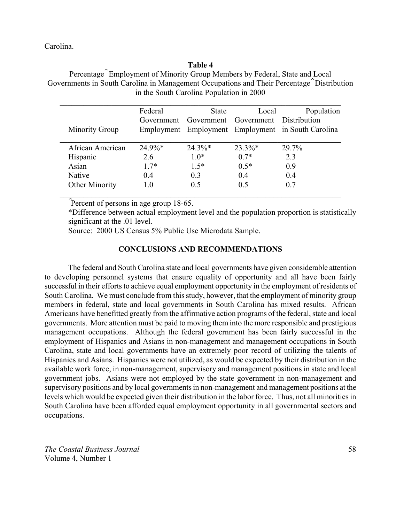Carolina.

#### **Table 4**

Percentage^ Employment of Minority Group Members by Federal, State and Local Governments in South Carolina in Management Occupations and Their Percentage^ Distribution in the South Carolina Population in 2000

|                       | Federal        | <b>State</b>   | Local                              | Population                                         |
|-----------------------|----------------|----------------|------------------------------------|----------------------------------------------------|
|                       | Government     |                | Government Government Distribution |                                                    |
| <b>Minority Group</b> |                |                |                                    | Employment Employment Employment in South Carolina |
|                       |                |                |                                    |                                                    |
| African American      | $24.9\%*$      | $24.3\%*$      | $23.3\%*$                          | 29.7%                                              |
| Hispanic              | 2.6            | $1.0*$         | $0.7*$                             | 2.3                                                |
| Asian                 | $1.7*$         | $1.5*$         | $0.5*$                             | 09                                                 |
| Native                | 04             | 0 <sub>3</sub> | 04                                 | 04                                                 |
| <b>Other Minority</b> | 1 <sub>0</sub> | 0.5            | 05                                 | 0.7                                                |
|                       |                |                |                                    |                                                    |

Therefore of persons in age group 18-65.

\*Difference between actual employment level and the population proportion is statistically significant at the .01 level.

Source: 2000 US Census 5% Public Use Microdata Sample.

## **CONCLUSIONS AND RECOMMENDATIONS**

The federal and South Carolina state and local governments have given considerable attention to developing personnel systems that ensure equality of opportunity and all have been fairly successful in their efforts to achieve equal employment opportunity in the employment of residents of South Carolina. We must conclude from this study, however, that the employment of minority group members in federal, state and local governments in South Carolina has mixed results. African Americans have benefitted greatly from the affirmative action programs of the federal, state and local governments. More attention must be paid to moving them into the more responsible and prestigious management occupations. Although the federal government has been fairly successful in the employment of Hispanics and Asians in non-management and management occupations in South Carolina, state and local governments have an extremely poor record of utilizing the talents of Hispanics and Asians. Hispanics were not utilized, as would be expected by their distribution in the available work force, in non-management, supervisory and management positions in state and local government jobs. Asians were not employed by the state government in non-management and supervisory positions and by local governments in non-management and management positions at the levels which would be expected given their distribution in the labor force. Thus, not all minorities in South Carolina have been afforded equal employment opportunity in all governmental sectors and occupations.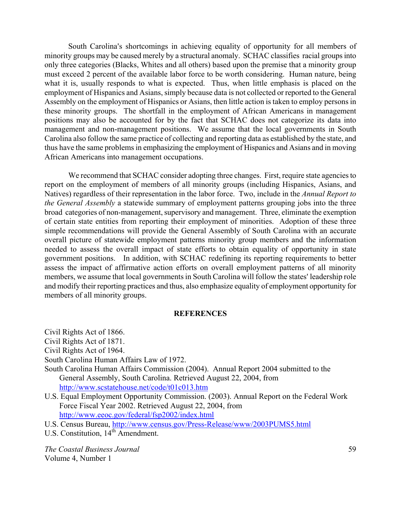South Carolina's shortcomings in achieving equality of opportunity for all members of minority groups may be caused merely by a structural anomaly. SCHAC classifies racial groups into only three categories (Blacks, Whites and all others) based upon the premise that a minority group must exceed 2 percent of the available labor force to be worth considering. Human nature, being what it is, usually responds to what is expected. Thus, when little emphasis is placed on the employment of Hispanics and Asians, simply because data is not collected or reported to the General Assembly on the employment of Hispanics or Asians, then little action is taken to employ persons in these minority groups. The shortfall in the employment of African Americans in management positions may also be accounted for by the fact that SCHAC does not categorize its data into management and non-management positions. We assume that the local governments in South Carolina also follow the same practice of collecting and reporting data as established by the state, and thus have the same problems in emphasizing the employment of Hispanics and Asians and in moving African Americans into management occupations.

We recommend that SCHAC consider adopting three changes. First, require state agencies to report on the employment of members of all minority groups (including Hispanics, Asians, and Natives) regardless of their representation in the labor force. Two, include in the *Annual Report to the General Assembly* a statewide summary of employment patterns grouping jobs into the three broad categories of non-management, supervisory and management. Three, eliminate the exemption of certain state entities from reporting their employment of minorities. Adoption of these three simple recommendations will provide the General Assembly of South Carolina with an accurate overall picture of statewide employment patterns minority group members and the information needed to assess the overall impact of state efforts to obtain equality of opportunity in state government positions. In addition, with SCHAC redefining its reporting requirements to better assess the impact of affirmative action efforts on overall employment patterns of all minority members, we assume that local governments in South Carolina will follow the states' leadership role and modify their reporting practices and thus, also emphasize equality of employment opportunity for members of all minority groups.

#### **REFERENCES**

Civil Rights Act of 1866.

Civil Rights Act of 1871.

Civil Rights Act of 1964.

South Carolina Human Affairs Law of 1972.

- South Carolina Human Affairs Commission (2004). Annual Report 2004 submitted to the General Assembly, South Carolina. Retrieved August 22, 2004, from http://www.scstatehouse.net/code/t01c013.htm
- U.S. Equal Employment Opportunity Commission. (2003). Annual Report on the Federal Work Force Fiscal Year 2002. Retrieved August 22, 2004, from http://www.eeoc.gov/federal/fsp2002/index.html
- U.S. Census Bureau, http://www.census.gov/Press-Release/www/2003PUMS5.html
- U.S. Constitution,  $14^{\text{th}}$  Amendment.